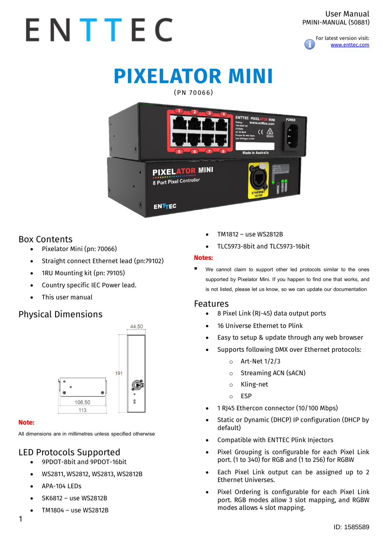

# **PIXELATOR MINI**

#### (PN 70066)



### Box Contents

- Pixelator Mini (pn: 70066)
- Straight connect Ethernet lead (pn:79102)
- 1RU Mounting kit (pn: 79105)
- Country specific IEC Power lead.
- This user manual

# Physical Dimensions



#### **Note:**

**All dimensions are in millimetres unless specified otherwise**

# LED Protocols Supported

- 9PDOT-8bit and 9PDOT-16bit
- WS2811, WS2812, WS2813, WS2812B
- APA-104 LEDs
- SK6812 use WS2812B
- TM1804 use WS2812B
- TM1812 use WS2812B
- TLC5973-8bit and TLC5973-16bit

#### **Notes:**

We cannot claim to support other led protocols similar to the ones **supported by Pixelator Mini. If you happen to find one that works, and is not listed, please let us know, so we can update our documentation**

#### Features

- 8 Pixel Link (RJ-45) data output ports
- 16 Universe Ethernet to Plink
- Easy to setup & update through any web browser
- Supports following DMX over Ethernet protocols:
	- o Art-Net 1/2/3
	- o Streaming ACN (sACN)
	- o Kling-net
	- o ESP
- 1 RJ45 Ethercon connector (10/100 Mbps)
- Static or Dynamic (DHCP) IP configuration (DHCP by default)
- Compatible with ENTTEC Plink Injectors
- Pixel Grouping is configurable for each Pixel Link port. (1 to 340) for RGB and (1 to 256) for RGBW
- Each Pixel Link output can be assigned up to 2 Ethernet Universes.
- Pixel Ordering is configurable for each Pixel Link port. RGB modes allow 3 slot mapping, and RGBW modes allows 4 slot mapping.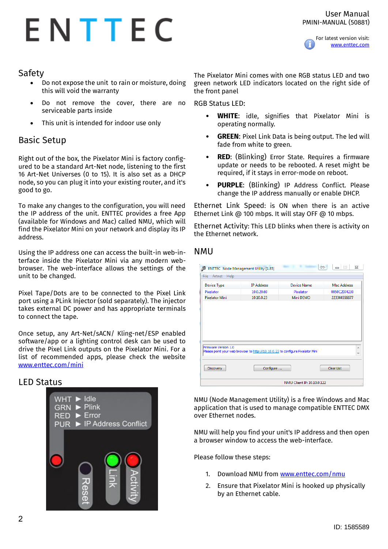

### Safety

- Do not expose the unit to rain or moisture, doing this will void the warranty
- Do not remove the cover, there are no serviceable parts inside
- This unit is intended for indoor use only

### Basic Setup

Right out of the box, the Pixelator Mini is factory configured to be a standard Art-Net node, listening to the first 16 Art-Net Universes (0 to 15). It is also set as a DHCP node, so you can plug it into your existing router, and it's good to go.

To make any changes to the configuration, you will need the IP address of the unit. ENTTEC provides a free App (available for Windows and Mac) called NMU, which will find the Pixelator Mini on your network and display its IP address.

Using the IP address one can access the built-in web-interface inside the Pixelator Mini via any modern webbrowser. The web-interface allows the settings of the unit to be changed.

Pixel Tape/Dots are to be connected to the Pixel Link port using a PLink Injector (sold separately). The injector takes external DC power and has appropriate terminals to connect the tape.

Once setup, any Art-Net/sACN/ Kling-net/ESP enabled software/app or a lighting control desk can be used to drive the Pixel Link outputs on the Pixelator Mini. For a list of recommended apps, please check the website <www.enttec.com/mini>

#### LED Status



The Pixelator Mini comes with one RGB status LED and two green network LED indicators located on the right side of the front panel

RGB Status LED:

- **WHITE:** idle, signifies that Pixelator Mini is operating normally.
- **GREEN**: Pixel Link Data is being output. The led will fade from white to green.
- **RED:** (Blinking) Error State. Requires a firmware update or needs to be rebooted. A reset might be required, if it stays in error-mode on reboot.
- **PURPLE:** (Blinking) IP Address Conflict. Please change the IP address manually or enable DHCP.

Ethernet Link Speed: is ON when there is an active Ethernet Link @ 100 mbps. It will stay OFF @ 10 mbps.

Ethernet Activity: This LED blinks when there is activity on the Ethernet network.

#### NMU

| Device Type           | <b>IP Address</b>                                                              | Device Name | Mac Address  |
|-----------------------|--------------------------------------------------------------------------------|-------------|--------------|
| Pixelator             | 10.0.20.60                                                                     | Pixelator   | 0050C2074230 |
| <b>Pixelator Mini</b> | 10.10.0.23                                                                     | Mini DEMO   | 223344556677 |
|                       |                                                                                |             |              |
| Firmware Version 1.0  | Please point your web browser to http://10.10.0.23 to configure Pixelator Mini |             |              |

NMU (Node Management Utility) is a free Windows and Mac application that is used to manage compatible ENTTEC DMX over Ethernet nodes.

NMU will help you find your unit's IP address and then open a browser window to access the web-interface.

Please follow these steps:

- 1. Download NMU from [www.enttec.com/nmu](http://www.enttec.com/nmu)
- 2. Ensure that Pixelator Mini is hooked up physically by an Ethernet cable.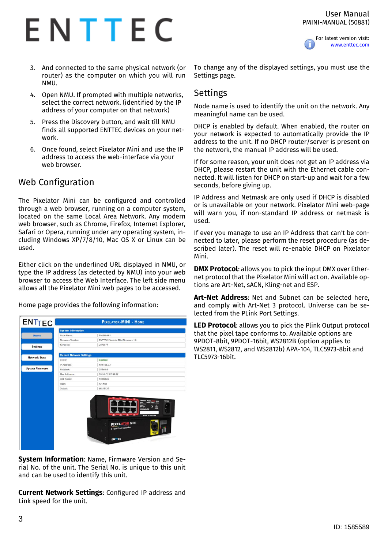#### User Manual PMINI-MANUAL (50881)



For latest version visit: [www.enttec.com](http://www.enttec.com/)

- 3. And connected to the same physical network (or router) as the computer on which you will run NMU.
- 4. Open NMU. If prompted with multiple networks, select the correct network. (identified by the IP address of your computer on that network)
- 5. Press the Discovery button, and wait till NMU finds all supported ENTTEC devices on your network.
- 6. Once found, select Pixelator Mini and use the IP address to access the web-interface via your web browser.

# Web Configuration

The Pixelator Mini can be configured and controlled through a web browser, running on a computer system, located on the same Local Area Network. Any modern web browser, such as Chrome, Firefox, Internet Explorer, Safari or Opera, running under any operating system, including Windows XP/7/8/10, Mac OS X or Linux can be used.

Either click on the underlined URL displayed in NMU, or type the IP address (as detected by NMU) into your web browser to access the Web Interface. The left side menu allows all the Pixelator Mini web pages to be accessed.

Home page provides the following information:

| <b>ENTTEC</b>          |                                 | <b>PIXELATOR-MINI - HOME</b>                                                                                                                                                                                                                                                           |
|------------------------|---------------------------------|----------------------------------------------------------------------------------------------------------------------------------------------------------------------------------------------------------------------------------------------------------------------------------------|
|                        | <b>System Information</b>       |                                                                                                                                                                                                                                                                                        |
| Home                   | Node Name:                      | Pixi Mini 01                                                                                                                                                                                                                                                                           |
|                        | Firmware Version:               | <b>ENTTEC Pixelator Mini Firmware 1.0</b>                                                                                                                                                                                                                                              |
| <b>Settings</b>        | Serial No:                      | 2076677                                                                                                                                                                                                                                                                                |
| <b>Network Stats</b>   | <b>Current Network Settings</b> |                                                                                                                                                                                                                                                                                        |
|                        | DHCP:                           | Enabled                                                                                                                                                                                                                                                                                |
|                        | IP Address:                     | 192,168,0.7                                                                                                                                                                                                                                                                            |
| <b>Update Firmware</b> | NetMask:                        | 255.0.0.0                                                                                                                                                                                                                                                                              |
|                        | Mac Address:                    | 00:50:C2:07:66:77                                                                                                                                                                                                                                                                      |
|                        | Link Speed:                     | 100 Mbps                                                                                                                                                                                                                                                                               |
|                        | Input:                          | Art-Net                                                                                                                                                                                                                                                                                |
|                        | Output:                         | WS2812B                                                                                                                                                                                                                                                                                |
|                        |                                 | <b>ENTTEC PIXELATOR MINE</b><br><b>POWER</b><br>Www.entter.com<br><b>106,2600 art</b><br>et total<br>٠<br>$C \in \mathbb{Z}$<br>16 VA MAX<br>Tempor Do Nor Dans<br>Live Vallages Instin<br>×<br>÷<br>$\bullet$<br>$\mathbf{r}$<br>$\overline{\phantom{a}}$<br><b>Mado in Australia</b> |
|                        |                                 | <b>PIXELATOR MINI</b><br>8 Port Pixel Controller<br>$\theta$<br><b>ENTTEC</b>                                                                                                                                                                                                          |
|                        |                                 |                                                                                                                                                                                                                                                                                        |

**System Information**: Name, Firmware Version and Serial No. of the unit. The Serial No. is unique to this unit and can be used to identify this unit.

**Current Network Settings**: Configured IP address and Link speed for the unit.

To change any of the displayed settings, you must use the Settings page.

### Settings

Node name is used to identify the unit on the network. Any meaningful name can be used.

DHCP is enabled by default. When enabled, the router on your network is expected to automatically provide the IP address to the unit. If no DHCP router/server is present on the network, the manual IP address will be used.

If for some reason, your unit does not get an IP address via DHCP, please restart the unit with the Ethernet cable connected. It will listen for DHCP on start-up and wait for a few seconds, before giving up.

IP Address and Netmask are only used if DHCP is disabled or is unavailable on your network. Pixelator Mini web-page will warn you, if non-standard IP address or netmask is used.

If ever you manage to use an IP Address that can't be connected to later, please perform the reset procedure (as described later). The reset will re-enable DHCP on Pixelator Mini.

**DMX Protocol**: allows you to pick the input DMX over Ethernet protocol that the Pixelator Mini will act on. Available options are Art-Net, sACN, Kling-net and ESP.

**Art-Net Address**: Net and Subnet can be selected here, and comply with Art-Net 3 protocol. Universe can be selected from the PLink Port Settings.

**LED Protocol**: allows you to pick the Plink Output protocol that the pixel tape conforms to. Available options are 9PDOT-8bit, 9PDOT-16bit, WS2812B (option applies to WS2811, WS2812, and WS2812b) APA-104, TLC5973-8bit and TLC5973-16bit.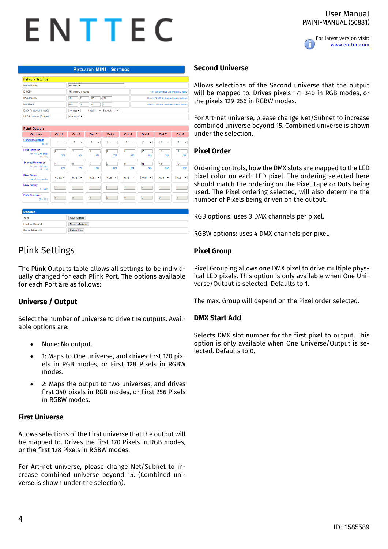

| <b>PIXELATOR-MINI - SETTINGS</b> |
|----------------------------------|
|----------------------------------|

| <b>Network Settings</b>      |                                                                 |                                         |
|------------------------------|-----------------------------------------------------------------|-----------------------------------------|
| Node Name:                   | Pixi Mini 01                                                    |                                         |
| DHCP:                        | DHCP Enable                                                     | This will override the IP setting below |
| <b>IP Address:</b>           | .67<br>.188<br>$\sqrt{7}$<br>10                                 | Used if DHCP is disabled or unavailable |
| NetMask:                     | 255<br>$\overline{\phantom{a}}$<br>۱o<br>$\cdot$ lo             | Used if DHCP is disabled or unavailable |
| <b>DMX Protocol (Input):</b> | Subnet: $1 - \mathbf{v}$<br>Net: 1<br>$\mathbf{v}$<br>Art-Net Y |                                         |
| <b>ED Protocol (Output):</b> | <b>WS2812B Y</b>                                                |                                         |

| <b>PLink Outputs</b>                                       |                |                                      |                                 |                                      |                                      |                                      |                                      |                            |
|------------------------------------------------------------|----------------|--------------------------------------|---------------------------------|--------------------------------------|--------------------------------------|--------------------------------------|--------------------------------------|----------------------------|
| <b>Options</b>                                             | Out 1          | Out <sub>2</sub>                     | Out 3                           | Out 4                                | Out 5                                | Out 6                                | Out 7                                | Out 8                      |
| Universe/Output:<br>$(0 - 2)$                              | $\overline{2}$ | $\overline{2}$<br>$\pmb{\mathrm{v}}$ | $\overline{2}$<br>۰             | $\overline{2}$<br>$\pmb{\mathrm{v}}$ | $\overline{2}$<br>$\pmb{\mathrm{v}}$ | $\overline{2}$<br>$\pmb{\mathrm{v}}$ | $\overline{2}$<br>$\pmb{\mathrm{v}}$ | $\overline{2}$             |
| <b>First Universe:</b><br>Art-Net Universe:<br>$(0 - 15)$  | lo.<br>272     | $\overline{2}$<br>274                | $\overline{4}$<br>276           | $\overline{6}$<br>278                | l8<br>280                            | 10<br>282                            | 12<br>284                            | 14<br>286                  |
| <b>Second Universe:</b><br>Art-Net Universe:<br>$(0 - 15)$ | h<br>273       | 3<br>275                             | $\overline{\phantom{a}}$<br>277 | 7<br>279                             | 9<br>281                             | 11<br>283                            | 13<br>285                            | 15<br>287                  |
| <b>Pixel Order:</b><br>correct color order                 | RGBW <b>v</b>  | <b>RGB</b><br>$\mathbf{v}$           | <b>RGB</b><br>۰                 | <b>RGB</b><br>$\pmb{\mathrm{v}}$     | <b>RGB</b><br>$\blacktriangledown$   | <b>RGB</b><br>$\mathbf v$            | <b>RGB</b><br>$\mathbf{v}$           | <b>RGB</b><br>$\mathbf{v}$ |
| <b>Pixel Group:</b><br>$(1 - 340)$                         | $\overline{1}$ | l1                                   | 1                               | $\overline{1}$                       | 1                                    | 1                                    | h.                                   | 1                          |
| <b>DMX Start Add:</b><br>$(0 - 511)$                       | $\overline{0}$ | $\overline{0}$                       | $\overline{0}$                  | $\overline{0}$                       | $\circ$                              | $\overline{0}$                       | $\overline{0}$                       | o                          |

| Save                   | Save Settings     |
|------------------------|-------------------|
| <b>Factory Default</b> | Reset to Defaults |
| <b>Reboot/Restart</b>  | Reboot Now        |

# Plink Settings

The Plink Outputs table allows all settings to be individually changed for each Plink Port. The options available for each Port are as follows:

#### **Universe / Output**

Select the number of universe to drive the outputs. Available options are:

- None: No output.
- 1: Maps to One universe, and drives first 170 pixels in RGB modes, or First 128 Pixels in RGBW modes.
- 2: Maps the output to two universes, and drives first 340 pixels in RGB modes, or First 256 Pixels in RGBW modes.

#### **First Universe**

Allows selections of the First universe that the output will be mapped to. Drives the first 170 Pixels in RGB modes, or the first 128 Pixels in RGBW modes.

For Art-net universe, please change Net/Subnet to increase combined universe beyond 15. (Combined universe is shown under the selection).

#### **Second Universe**

Allows selections of the Second universe that the output will be mapped to. Drives pixels 171-340 in RGB modes, or the pixels 129-256 in RGBW modes.

For Art-net universe, please change Net/Subnet to increase combined universe beyond 15. Combined universe is shown under the selection.

#### **Pixel Order**

Ordering controls, how the DMX slots are mapped to the LED pixel color on each LED pixel. The ordering selected here should match the ordering on the Pixel Tape or Dots being used. The Pixel ordering selected, will also determine the number of Pixels being driven on the output.

RGB options: uses 3 DMX channels per pixel.

RGBW options: uses 4 DMX channels per pixel.

#### **Pixel Group**

Pixel Grouping allows one DMX pixel to drive multiple physical LED pixels. This option is only available when One Universe/Output is selected. Defaults to 1.

The max. Group will depend on the Pixel order selected.

#### **DMX Start Add**

Selects DMX slot number for the first pixel to output. This option is only available when One Universe/Output is selected. Defaults to 0.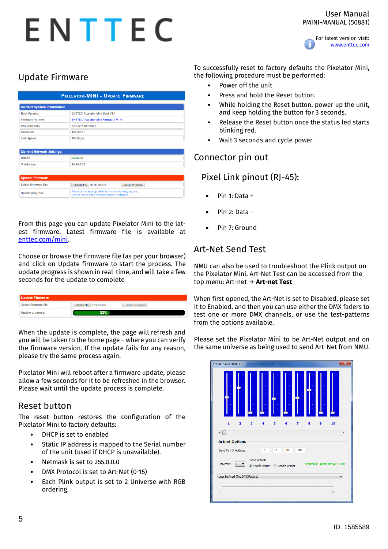

# Update Firmware

| <b>PIXELATOR-MINI - UPDATE FIRMWARE</b> |                                                                                                                    |  |
|-----------------------------------------|--------------------------------------------------------------------------------------------------------------------|--|
| <b>Current System Information</b>       |                                                                                                                    |  |
| <b>Boot Version:</b>                    | <b>ENTTEC Pixelator Mini Boot V1.1</b>                                                                             |  |
| <b>Firmware Version:</b>                | <b>ENTTEC Pixelator Mini Firmware V1.0</b>                                                                         |  |
| <b>Mac Address:</b>                     | 22:33:44:55:66:77                                                                                                  |  |
| Serial No:                              | 44556677                                                                                                           |  |
| <b>Link Speed:</b>                      | 100 Mbps                                                                                                           |  |
| <b>Current Network Settings</b>         |                                                                                                                    |  |
| DHCP:                                   | enabled                                                                                                            |  |
| <b>IP Address:</b>                      | 10.10.0.23                                                                                                         |  |
|                                         |                                                                                                                    |  |
| <b>Update Firmware</b>                  |                                                                                                                    |  |
| Select firmware file:                   | Choose File<br>No file chosen<br>Update Firmware                                                                   |  |
| <b>Update progress:</b>                 | Please do not interrupt while the firmware is being updated.<br>Unit will restart once firmware update is complete |  |

From this page you can update Pixelator Mini to the latest firmware. Latest firmware file is available at [enttec.com/mini.](http://www.enttec.com/mini)

Choose or browse the firmware file (as per your browser) and click on Update firmware to start the process. The update progress is shown in real-time, and will take a few seconds for the update to complete

| Choose File firmware.bin<br>Select firmware file: |                        |
|---------------------------------------------------|------------------------|
|                                                   | <b>Update Firmware</b> |
| 33%<br>Update progress:                           |                        |

When the update is complete, the page will refresh and you will be taken to the home page – where you can verify the firmware version. If the update fails for any reason, please try the same process again.

Pixelator Mini will reboot after a firmware update, please allow a few seconds for it to be refreshed in the browser. Please wait until the update process is complete.

### Reset button

The reset button restores the configuration of the Pixelator Mini to factory defaults:

- DHCP is set to enabled
- Static IP address is mapped to the Serial number of the unit (used if DHCP is unavailable).
- Netmask is set to 255.0.0.0
- DMX Protocol is set to Art-Net (0-15)
- Each Plink output is set to 2 Universe with RGB ordering.

To successfully reset to factory defaults the Pixelator Mini, the following procedure must be performed:

- Power off the unit
- Press and hold the Reset button.
- While holding the Reset button, power up the unit, and keep holding the button for 3 seconds.
- Release the Reset button once the status led starts blinking red.
- Wait 3 seconds and cycle power

### Connector pin out

# Pixel Link pinout (RJ-45):

- Pin 1: Data +
- Pin 2: Data -
- Pin 7: Ground

# Art-Net Send Test

NMU can also be used to troubleshoot the Plink output on the Pixelator Mini. Art-Net Test can be accessed from the top menu: Art-net → **Art-net Test**

When first opened, the Art-Net is set to Disabled, please set it to Enabled, and then you can use either the DMX faders to test one or more DMX channels, or use the test-patterns from the options available.

Please set the Pixelator Mini to be Art-Net output and on the same universe as being used to send Art-Net from NMU.

| Artnet: Send DMX 512                                                                                                                                                                               |             | $\overline{\mathbf{x}}$                                                                                                               |  |
|----------------------------------------------------------------------------------------------------------------------------------------------------------------------------------------------------|-------------|---------------------------------------------------------------------------------------------------------------------------------------|--|
|                                                                                                                                                                                                    |             |                                                                                                                                       |  |
| $\mathbf{1}$<br>$\overline{\mathbf{2}}$<br>$\overline{\phantom{a}}$<br><b>Artnet Options</b>                                                                                                       | 3<br>5<br>4 | 10<br>6<br>7<br>8<br>9<br>١                                                                                                           |  |
| Send To - IP Address:<br>10<br>10<br>10<br>203<br>Send Artnet:<br>Universe:<br><b>Status: Artnet ACTIVE</b><br>$\overline{0}$<br>◎ Enable Artnet ◎ Disable Artnet<br>User Defined (Top DMX Faders) |             |                                                                                                                                       |  |
| $\mathbf{r}$<br>$\Box$                                                                                                                                                                             | $\theta$    | the contract of the contract of the contract of the contract of the contract of the contract of<br>$\mathbf{r} \in \mathbb{R}$<br>255 |  |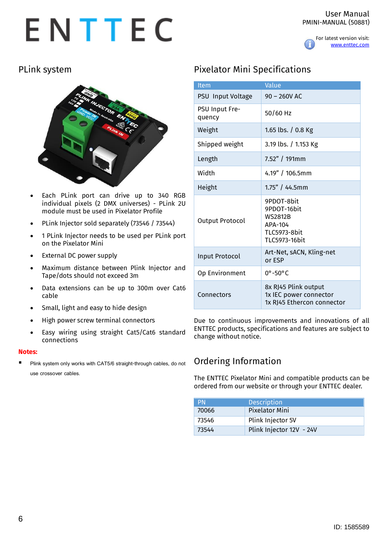For latest version visit: [www.enttec.com](http://www.enttec.com/)

# PLink system



- Each PLink port can drive up to 340 RGB individual pixels (2 DMX universes) - PLink 2U module must be used in Pixelator Profile
- PLink Injector sold separately (73546 / 73544)
- 1 PLink Injector needs to be used per PLink port on the Pixelator Mini
- External DC power supply
- Maximum distance between Plink Injector and Tape/dots should not exceed 3m
- Data extensions can be up to 300m over Cat6 cable
- Small, light and easy to hide design
- High power screw terminal connectors
- Easy wiring using straight Cat5/Cat6 standard connections

#### **Notes:**

Plink system only works with CAT5/6 straight-through cables, do not **use crossover cables.** 

# Pixelator Mini Specifications

| <b>Item</b>              | Value                                                                                    |
|--------------------------|------------------------------------------------------------------------------------------|
| PSU Input Voltage        | $90 - 260V$ AC                                                                           |
| PSU Input Fre-<br>quency | 50/60 Hz                                                                                 |
| Weight                   | 1.65 lbs. / 0.8 Kg                                                                       |
| Shipped weight           | 3.19 lbs. / 1.153 Kg                                                                     |
| Length                   | 7.52" / 191mm                                                                            |
| Width                    | 4.19" / 106.5mm                                                                          |
| Height                   | $1.75" / 44.5$ mm                                                                        |
| Output Protocol          | 9PDOT-8bit<br>9PDOT-16bit<br><b>WS2812B</b><br>APA-104<br>TLC5973-8bit<br>TI C5973-16bit |
| Input Protocol           | Art-Net, sACN, Kling-net<br>or ESP                                                       |
| Op Environment           | $0^\circ - 50^\circ C$                                                                   |
| Connectors               | 8x RJ45 Plink output<br>1x IEC power connector<br>1x RJ45 Ethercon connector             |

Due to continuous improvements and innovations of all ENTTEC products, specifications and features are subject to change without notice.

# Ordering Information

The ENTTEC Pixelator Mini and compatible products can be ordered from our website or through your ENTTEC dealer.

| <b>PN</b> | <b>Description</b>       |
|-----------|--------------------------|
| 70066     | <b>Pixelator Mini</b>    |
| 73546     | Plink Injector 5V        |
| 73544     | Plink Injector 12V - 24V |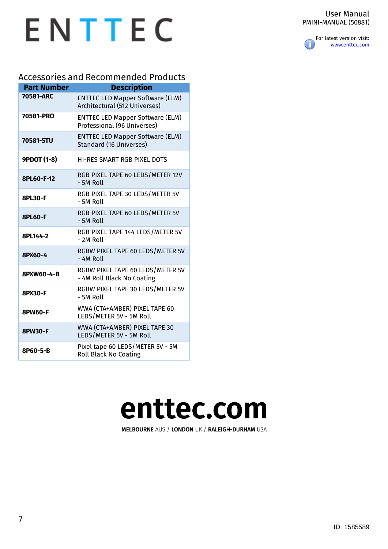#### User Manual PMINI-MANUAL (50881)



# ENTTEC

# Accessories and Recommended Products

| <b>Part Number</b> | <b>Description</b>                                                        |
|--------------------|---------------------------------------------------------------------------|
| 70581-ARC          | <b>ENTTEC LED Mapper Software (ELM)</b><br>Architectural (512 Universes)  |
| 70581-PRO          | <b>ENTTEC LED Mapper Software (ELM)</b><br>Professional (96 Universes)    |
| 70581-STU          | <b>ENTTEC LED Mapper Software (ELM)</b><br><b>Standard (16 Universes)</b> |
| <b>9PDOT (1-8)</b> | <b>HI-RES SMART RGB PIXEL DOTS</b>                                        |
| 8PL60-F-12         | RGB PIXEL TAPE 60 LEDS/METER 12V<br>- 5M Roll                             |
| 8PL30-F            | RGB PIXEL TAPE 30 LEDS/METER 5V<br>- 5M Roll                              |
| <b>8PL60-F</b>     | RGB PIXEL TAPE 60 LEDS/METER 5V<br>$-5M$ Roll                             |
| 8PL144-2           | RGB PIXEL TAPE 144 LEDS/METER 5V<br>- 2M Roll                             |
| 8PX60-4            | RGBW PIXEL TAPE 60 LEDS/METER 5V<br>- 4M Roll                             |
| 8PXW60-4-B         | RGBW PIXEL TAPE 60 LEDS/METER 5V<br>- 4M Roll Black No Coating            |
| 8PX30-F            | RGBW PIXEL TAPE 30 LEDS/METER 5V<br>- 5M Roll                             |
| 8PW60-F            | WWA (CTA+AMBER) PIXEL TAPE 60<br>LEDS/METER 5V - 5M Roll                  |
| 8PW30-F            | WWA (CTA+AMBER) PIXEL TAPE 30<br>LEDS/METER 5V - 5M Roll                  |
| 8P60-5-B           | Pixel tape 60 LEDS/METER 5V - 5M<br><b>Roll Black No Coating</b>          |

# enttec.com

MELBOURNE AUS / LONDON UK / RALEIGH-DURHAM USA